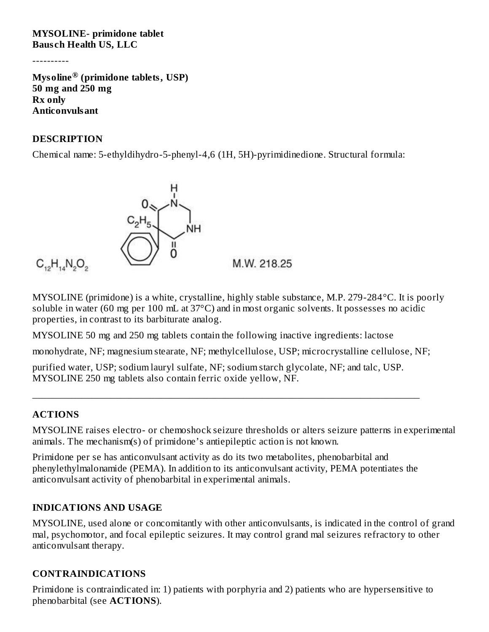#### **MYSOLINE- primidone tablet Baus ch Health US, LLC**

----------

**Mysoline (primidone tablets, USP) ®50 mg and 250 mg Rx only Anticonvulsant**

#### **DESCRIPTION**

Chemical name: 5-ethyldihydro-5-phenyl-4,6 (1H, 5H)-pyrimidinedione. Structural formula:



MYSOLINE (primidone) is a white, crystalline, highly stable substance, M.P. 279-284°C. It is poorly soluble in water (60 mg per 100 mL at 37°C) and in most organic solvents. It possesses no acidic properties, in contrast to its barbiturate analog.

MYSOLINE 50 mg and 250 mg tablets contain the following inactive ingredients: lactose

monohydrate, NF; magnesium stearate, NF; methylcellulose, USP; microcrystalline cellulose, NF;

purified water, USP; sodium lauryl sulfate, NF; sodium starch glycolate, NF; and talc, USP. MYSOLINE 250 mg tablets also contain ferric oxide yellow, NF.

\_\_\_\_\_\_\_\_\_\_\_\_\_\_\_\_\_\_\_\_\_\_\_\_\_\_\_\_\_\_\_\_\_\_\_\_\_\_\_\_\_\_\_\_\_\_\_\_\_\_\_\_\_\_\_\_\_\_\_\_\_\_\_\_\_\_\_\_\_\_\_\_\_\_\_\_\_\_\_

# **ACTIONS**

MYSOLINE raises electro- or chemoshock seizure thresholds or alters seizure patterns in experimental animals. The mechanism(s) of primidone's antiepileptic action is not known.

Primidone per se has anticonvulsant activity as do its two metabolites, phenobarbital and phenylethylmalonamide (PEMA). In addition to its anticonvulsant activity, PEMA potentiates the anticonvulsant activity of phenobarbital in experimental animals.

# **INDICATIONS AND USAGE**

MYSOLINE, used alone or concomitantly with other anticonvulsants, is indicated in the control of grand mal, psychomotor, and focal epileptic seizures. It may control grand mal seizures refractory to other anticonvulsant therapy.

# **CONTRAINDICATIONS**

Primidone is contraindicated in: 1) patients with porphyria and 2) patients who are hypersensitive to phenobarbital (see **ACTIONS**).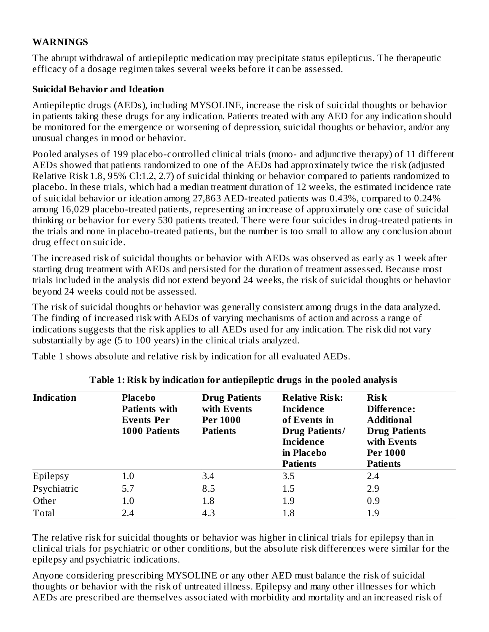# **WARNINGS**

The abrupt withdrawal of antiepileptic medication may precipitate status epilepticus. The therapeutic efficacy of a dosage regimen takes several weeks before it can be assessed.

#### **Suicidal Behavior and Ideation**

Antiepileptic drugs (AEDs), including MYSOLINE, increase the risk of suicidal thoughts or behavior in patients taking these drugs for any indication. Patients treated with any AED for any indication should be monitored for the emergence or worsening of depression, suicidal thoughts or behavior, and/or any unusual changes in mood or behavior.

Pooled analyses of 199 placebo-controlled clinical trials (mono- and adjunctive therapy) of 11 different AEDs showed that patients randomized to one of the AEDs had approximately twice the risk (adjusted Relative Risk 1.8, 95% Cl:1.2, 2.7) of suicidal thinking or behavior compared to patients randomized to placebo. In these trials, which had a median treatment duration of 12 weeks, the estimated incidence rate of suicidal behavior or ideation among 27,863 AED-treated patients was 0.43%, compared to 0.24% among 16,029 placebo-treated patients, representing an increase of approximately one case of suicidal thinking or behavior for every 530 patients treated. There were four suicides in drug-treated patients in the trials and none in placebo-treated patients, but the number is too small to allow any conclusion about drug effect on suicide.

The increased risk of suicidal thoughts or behavior with AEDs was observed as early as 1 week after starting drug treatment with AEDs and persisted for the duration of treatment assessed. Because most trials included in the analysis did not extend beyond 24 weeks, the risk of suicidal thoughts or behavior beyond 24 weeks could not be assessed.

The risk of suicidal thoughts or behavior was generally consistent among drugs in the data analyzed. The finding of increased risk with AEDs of varying mechanisms of action and across a range of indications suggests that the risk applies to all AEDs used for any indication. The risk did not vary substantially by age (5 to 100 years) in the clinical trials analyzed.

Table 1 shows absolute and relative risk by indication for all evaluated AEDs.

| <b>Indication</b> | <b>Placebo</b><br><b>Patients with</b><br><b>Events Per</b><br><b>1000 Patients</b> | <b>Drug Patients</b><br>with Events<br><b>Per 1000</b><br><b>Patients</b> | <b>Relative Risk:</b><br>Incidence<br>of Events in<br><b>Drug Patients/</b><br><b>Incidence</b><br>in Placebo<br><b>Patients</b> | <b>Risk</b><br>Difference:<br><b>Additional</b><br><b>Drug Patients</b><br>with Events<br><b>Per 1000</b><br><b>Patients</b> |
|-------------------|-------------------------------------------------------------------------------------|---------------------------------------------------------------------------|----------------------------------------------------------------------------------------------------------------------------------|------------------------------------------------------------------------------------------------------------------------------|
| Epilepsy          | $1.0\,$                                                                             | 3.4                                                                       | 3.5                                                                                                                              | 2.4                                                                                                                          |
| Psychiatric       | 5.7                                                                                 | 8.5                                                                       | 1.5                                                                                                                              | 2.9                                                                                                                          |
| Other             | 1.0                                                                                 | 1.8                                                                       | 1.9                                                                                                                              | 0.9                                                                                                                          |
| Total             | 2.4                                                                                 | 4.3                                                                       | 1.8                                                                                                                              | 1.9                                                                                                                          |

**Table 1: Risk by indication for antiepileptic drugs in the pooled analysis**

The relative risk for suicidal thoughts or behavior was higher in clinical trials for epilepsy than in clinical trials for psychiatric or other conditions, but the absolute risk differences were similar for the epilepsy and psychiatric indications.

Anyone considering prescribing MYSOLINE or any other AED must balance the risk of suicidal thoughts or behavior with the risk of untreated illness. Epilepsy and many other illnesses for which AEDs are prescribed are themselves associated with morbidity and mortality and an increased risk of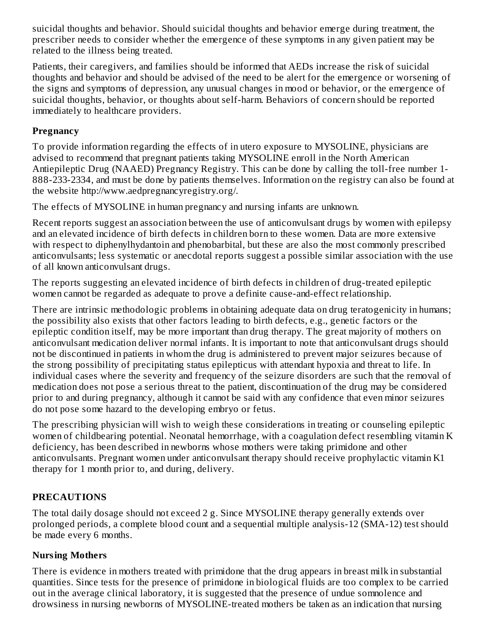suicidal thoughts and behavior. Should suicidal thoughts and behavior emerge during treatment, the prescriber needs to consider whether the emergence of these symptoms in any given patient may be related to the illness being treated.

Patients, their caregivers, and families should be informed that AEDs increase the risk of suicidal thoughts and behavior and should be advised of the need to be alert for the emergence or worsening of the signs and symptoms of depression, any unusual changes in mood or behavior, or the emergence of suicidal thoughts, behavior, or thoughts about self-harm. Behaviors of concern should be reported immediately to healthcare providers.

# **Pregnancy**

To provide information regarding the effects of in utero exposure to MYSOLINE, physicians are advised to recommend that pregnant patients taking MYSOLINE enroll in the North American Antiepileptic Drug (NAAED) Pregnancy Registry. This can be done by calling the toll-free number 1- 888-233-2334, and must be done by patients themselves. Information on the registry can also be found at the website http://www.aedpregnancyregistry.org/.

The effects of MYSOLINE in human pregnancy and nursing infants are unknown.

Recent reports suggest an association between the use of anticonvulsant drugs by women with epilepsy and an elevated incidence of birth defects in children born to these women. Data are more extensive with respect to diphenylhydantoin and phenobarbital, but these are also the most commonly prescribed anticonvulsants; less systematic or anecdotal reports suggest a possible similar association with the use of all known anticonvulsant drugs.

The reports suggesting an elevated incidence of birth defects in children of drug-treated epileptic women cannot be regarded as adequate to prove a definite cause-and-effect relationship.

There are intrinsic methodologic problems in obtaining adequate data on drug teratogenicity in humans; the possibility also exists that other factors leading to birth defects, e.g., genetic factors or the epileptic condition itself, may be more important than drug therapy. The great majority of mothers on anticonvulsant medication deliver normal infants. It is important to note that anticonvulsant drugs should not be discontinued in patients in whom the drug is administered to prevent major seizures because of the strong possibility of precipitating status epilepticus with attendant hypoxia and threat to life. In individual cases where the severity and frequency of the seizure disorders are such that the removal of medication does not pose a serious threat to the patient, discontinuation of the drug may be considered prior to and during pregnancy, although it cannot be said with any confidence that even minor seizures do not pose some hazard to the developing embryo or fetus.

The prescribing physician will wish to weigh these considerations in treating or counseling epileptic women of childbearing potential. Neonatal hemorrhage, with a coagulation defect resembling vitamin K deficiency, has been described in newborns whose mothers were taking primidone and other anticonvulsants. Pregnant women under anticonvulsant therapy should receive prophylactic vitamin K1 therapy for 1 month prior to, and during, delivery.

# **PRECAUTIONS**

The total daily dosage should not exceed 2 g. Since MYSOLINE therapy generally extends over prolonged periods, a complete blood count and a sequential multiple analysis-12 (SMA-12) test should be made every 6 months.

# **Nursing Mothers**

There is evidence in mothers treated with primidone that the drug appears in breast milk in substantial quantities. Since tests for the presence of primidone in biological fluids are too complex to be carried out in the average clinical laboratory, it is suggested that the presence of undue somnolence and drowsiness in nursing newborns of MYSOLINE-treated mothers be taken as an indication that nursing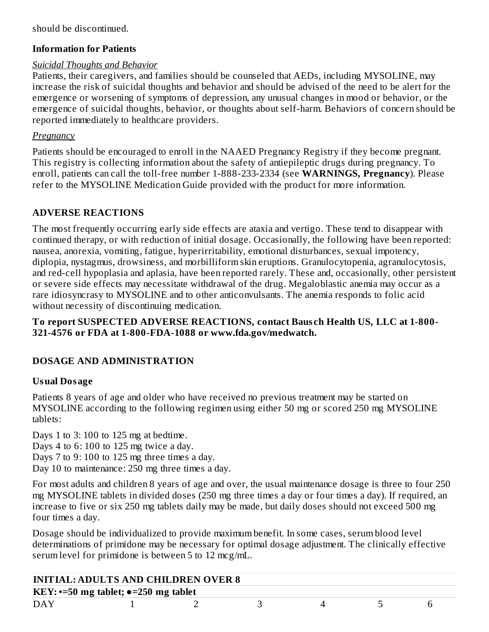# **Information for Patients**

# *Suicidal Thoughts and Behavior*

Patients, their caregivers, and families should be counseled that AEDs, including MYSOLINE, may increase the risk of suicidal thoughts and behavior and should be advised of the need to be alert for the emergence or worsening of symptoms of depression, any unusual changes in mood or behavior, or the emergence of suicidal thoughts, behavior, or thoughts about self-harm. Behaviors of concern should be reported immediately to healthcare providers.

# *Pregnancy*

Patients should be encouraged to enroll in the NAAED Pregnancy Registry if they become pregnant. This registry is collecting information about the safety of antiepileptic drugs during pregnancy. To enroll, patients can call the toll-free number 1-888-233-2334 (see **WARNINGS, Pregnancy**). Please refer to the MYSOLINE Medication Guide provided with the product for more information.

# **ADVERSE REACTIONS**

The most frequently occurring early side effects are ataxia and vertigo. These tend to disappear with continued therapy, or with reduction of initial dosage. Occasionally, the following have been reported: nausea, anorexia, vomiting, fatigue, hyperirritability, emotional disturbances, sexual impotency, diplopia, nystagmus, drowsiness, and morbilliform skin eruptions. Granulocytopenia, agranulocytosis, and red-cell hypoplasia and aplasia, have been reported rarely. These and, occasionally, other persistent or severe side effects may necessitate withdrawal of the drug. Megaloblastic anemia may occur as a rare idiosyncrasy to MYSOLINE and to other anticonvulsants. The anemia responds to folic acid without necessity of discontinuing medication.

# **To report SUSPECTED ADVERSE REACTIONS, contact Baus ch Health US, LLC at 1-800- 321-4576 or FDA at 1-800-FDA-1088 or www.fda.gov/medwatch.**

# **DOSAGE AND ADMINISTRATION**

# **Usual Dosage**

Patients 8 years of age and older who have received no previous treatment may be started on MYSOLINE according to the following regimen using either 50 mg or scored 250 mg MYSOLINE tablets:

Days 1 to 3: 100 to 125 mg at bedtime. Days 4 to 6: 100 to 125 mg twice a day. Days 7 to 9: 100 to 125 mg three times a day.

Day 10 to maintenance: 250 mg three times a day.

For most adults and children 8 years of age and over, the usual maintenance dosage is three to four 250 mg MYSOLINE tablets in divided doses (250 mg three times a day or four times a day). If required, an increase to five or six 250 mg tablets daily may be made, but daily doses should not exceed 500 mg four times a day.

Dosage should be individualized to provide maximum benefit. In some cases, serum blood level determinations of primidone may be necessary for optimal dosage adjustment. The clinically effective serum level for primidone is between 5 to 12 mcg/mL.

|     | <b>INITIAL: ADULTS AND CHILDREN OVER 8</b>           |  |  |  |
|-----|------------------------------------------------------|--|--|--|
|     | KEY: $\cdot$ =50 mg tablet; $\bullet$ =250 mg tablet |  |  |  |
| DAY |                                                      |  |  |  |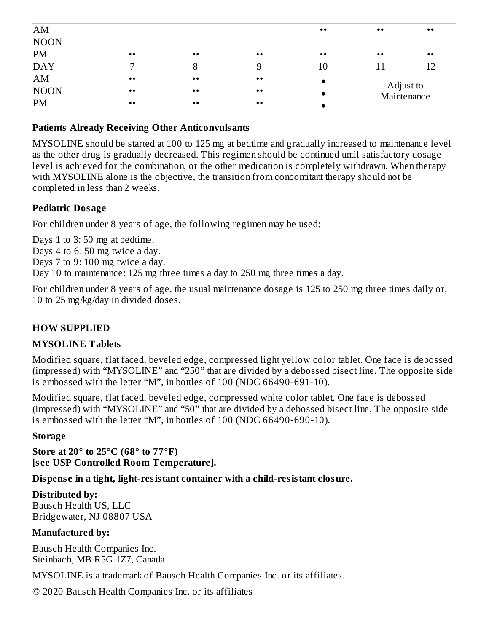| AM               |                  |                  |                  | $\bullet\bullet$ | $\bullet\bullet$ | $\bullet\bullet$         |
|------------------|------------------|------------------|------------------|------------------|------------------|--------------------------|
| <b>NOON</b>      |                  |                  |                  |                  |                  |                          |
| PM               | $\bullet\bullet$ | $\bullet\bullet$ | $\bullet\bullet$ | $\bullet\bullet$ | $\bullet\bullet$ | $\bullet\bullet$         |
| $\overline{DAY}$ | −                |                  |                  | 10               |                  |                          |
| AM               | $\bullet\bullet$ | $\bullet\bullet$ | $\bullet\bullet$ |                  |                  |                          |
| <b>NOON</b>      | $\bullet\bullet$ | $\bullet\bullet$ | $\bullet\bullet$ |                  |                  | Adjust to<br>Maintenance |
| <b>PM</b>        | $\bullet\bullet$ | $\bullet\bullet$ | $\bullet\bullet$ |                  |                  |                          |

#### **Patients Already Receiving Other Anticonvulsants**

MYSOLINE should be started at 100 to 125 mg at bedtime and gradually increased to maintenance level as the other drug is gradually decreased. This regimen should be continued until satisfactory dosage level is achieved for the combination, or the other medication is completely withdrawn. When therapy with MYSOLINE alone is the objective, the transition from concomitant therapy should not be completed in less than 2 weeks.

# **Pediatric Dosage**

For children under 8 years of age, the following regimen may be used:

Days 1 to 3: 50 mg at bedtime.

Days 4 to 6: 50 mg twice a day.

Days 7 to 9: 100 mg twice a day.

Day 10 to maintenance: 125 mg three times a day to 250 mg three times a day.

For children under 8 years of age, the usual maintenance dosage is 125 to 250 mg three times daily or, 10 to 25 mg/kg/day in divided doses.

# **HOW SUPPLIED**

# **MYSOLINE Tablets**

Modified square, flat faced, beveled edge, compressed light yellow color tablet. One face is debossed (impressed) with "MYSOLINE" and "250" that are divided by a debossed bisect line. The opposite side is embossed with the letter "M", in bottles of 100 (NDC 66490-691-10).

Modified square, flat faced, beveled edge, compressed white color tablet. One face is debossed (impressed) with "MYSOLINE" and "50" that are divided by a debossed bisect line. The opposite side is embossed with the letter "M", in bottles of 100 (NDC 66490-690-10).

# **Storage**

**Store at 20° to 25°C (68° to 77°F) [s ee USP Controlled Room Temperature].**

# **Dispens e in a tight, light-resistant container with a child-resistant closure.**

#### **Distributed by:** Bausch Health US, LLC Bridgewater, NJ 08807 USA

# **Manufactured by:**

Bausch Health Companies Inc. Steinbach, MB R5G 1Z7, Canada

MYSOLINE is a trademark of Bausch Health Companies Inc. or its affiliates.

© 2020 Bausch Health Companies Inc. or its affiliates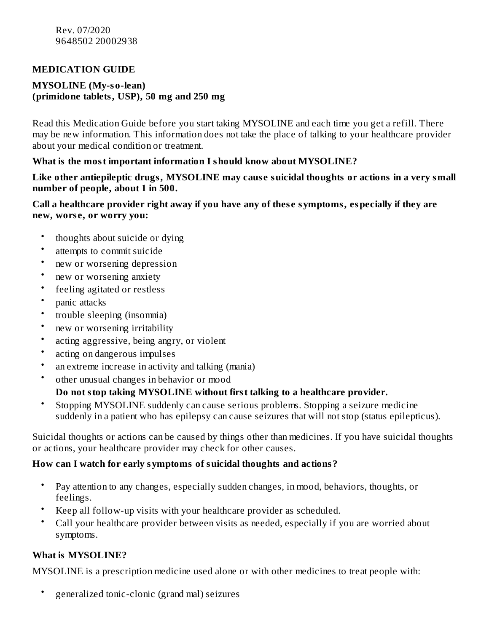Rev. 07/2020 9648502 20002938

# **MEDICATION GUIDE**

#### **MYSOLINE (My-so-lean) (primidone tablets, USP), 50 mg and 250 mg**

Read this Medication Guide before you start taking MYSOLINE and each time you get a refill. There may be new information. This information does not take the place of talking to your healthcare provider about your medical condition or treatment.

#### **What is the most important information I should know about MYSOLINE?**

**Like other antiepileptic drugs, MYSOLINE may caus e suicidal thoughts or actions in a very small number of people, about 1 in 500.**

#### **Call a healthcare provider right away if you have any of thes e symptoms, especially if they are new, wors e, or worry you:**

- thoughts about suicide or dying
- attempts to commit suicide
- new or worsening depression
- new or worsening anxiety
- feeling agitated or restless
- panic attacks
- trouble sleeping (insomnia)
- new or worsening irritability
- acting aggressive, being angry, or violent
- acting on dangerous impulses
- an extreme increase in activity and talking (mania)
- other unusual changes in behavior or mood

# **Do not stop taking MYSOLINE without first talking to a healthcare provider.**

• Stopping MYSOLINE suddenly can cause serious problems. Stopping a seizure medicine suddenly in a patient who has epilepsy can cause seizures that will not stop (status epilepticus).

Suicidal thoughts or actions can be caused by things other than medicines. If you have suicidal thoughts or actions, your healthcare provider may check for other causes.

#### **How can I watch for early symptoms of suicidal thoughts and actions?**

- Pay attention to any changes, especially sudden changes, in mood, behaviors, thoughts, or feelings.
- Keep all follow-up visits with your healthcare provider as scheduled.
- Call your healthcare provider between visits as needed, especially if you are worried about symptoms.

# **What is MYSOLINE?**

MYSOLINE is a prescription medicine used alone or with other medicines to treat people with:

• generalized tonic-clonic (grand mal) seizures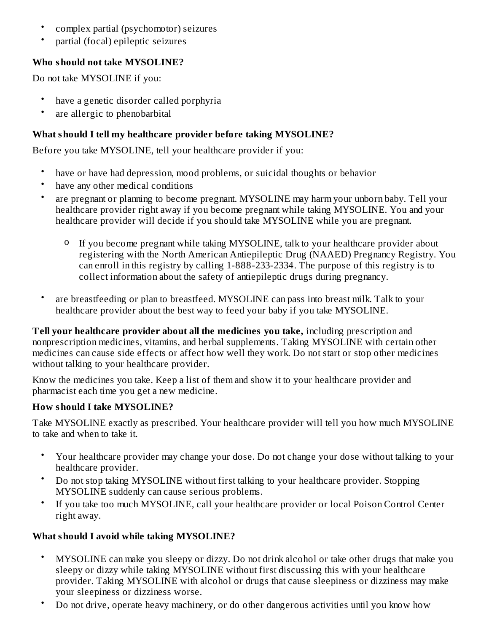- complex partial (psychomotor) seizures
- partial (focal) epileptic seizures

# **Who should not take MYSOLINE?**

Do not take MYSOLINE if you:

- have a genetic disorder called porphyria
- are allergic to phenobarbital

# **What should I tell my healthcare provider before taking MYSOLINE?**

Before you take MYSOLINE, tell your healthcare provider if you:

- have or have had depression, mood problems, or suicidal thoughts or behavior
- have any other medical conditions
- are pregnant or planning to become pregnant. MYSOLINE may harm your unborn baby. Tell your healthcare provider right away if you become pregnant while taking MYSOLINE. You and your healthcare provider will decide if you should take MYSOLINE while you are pregnant.
	- o If you become pregnant while taking MYSOLINE, talk to your healthcare provider about registering with the North American Antiepileptic Drug (NAAED) Pregnancy Registry. You can enroll in this registry by calling 1-888-233-2334. The purpose of this registry is to collect information about the safety of antiepileptic drugs during pregnancy.
- are breastfeeding or plan to breastfeed. MYSOLINE can pass into breast milk. Talk to your healthcare provider about the best way to feed your baby if you take MYSOLINE.

**Tell your healthcare provider about all the medicines you take,** including prescription and nonprescription medicines, vitamins, and herbal supplements. Taking MYSOLINE with certain other medicines can cause side effects or affect how well they work. Do not start or stop other medicines without talking to your healthcare provider.

Know the medicines you take. Keep a list of them and show it to your healthcare provider and pharmacist each time you get a new medicine.

# **How should I take MYSOLINE?**

Take MYSOLINE exactly as prescribed. Your healthcare provider will tell you how much MYSOLINE to take and when to take it.

- Your healthcare provider may change your dose. Do not change your dose without talking to your healthcare provider.
- Do not stop taking MYSOLINE without first talking to your healthcare provider. Stopping MYSOLINE suddenly can cause serious problems.
- If you take too much MYSOLINE, call your healthcare provider or local Poison Control Center right away.

# **What should I avoid while taking MYSOLINE?**

- MYSOLINE can make you sleepy or dizzy. Do not drink alcohol or take other drugs that make you sleepy or dizzy while taking MYSOLINE without first discussing this with your healthcare provider. Taking MYSOLINE with alcohol or drugs that cause sleepiness or dizziness may make your sleepiness or dizziness worse.
- Do not drive, operate heavy machinery, or do other dangerous activities until you know how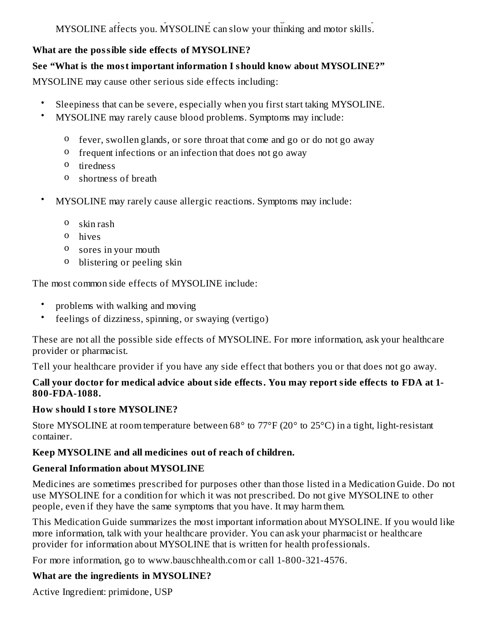Do not drive, operate heavy machinery, or do other dangerous activities until you know how MYSOLINE affects you. MYSOLINE can slow your thinking and motor skills.

# **What are the possible side effects of MYSOLINE?**

# **See "What is the most important information I should know about MYSOLINE?"**

MYSOLINE may cause other serious side effects including:

- Sleepiness that can be severe, especially when you first start taking MYSOLINE.
- MYSOLINE may rarely cause blood problems. Symptoms may include:
	- o fever, swollen glands, or sore throat that come and go or do not go away
	- o frequent infections or an infection that does not go away
	- o tiredness
	- o shortness of breath
- MYSOLINE may rarely cause allergic reactions. Symptoms may include:
	- o skin rash
	- o hives
	- o sores in your mouth
	- o blistering or peeling skin

The most common side effects of MYSOLINE include:

- problems with walking and moving
- feelings of dizziness, spinning, or swaying (vertigo)

These are not all the possible side effects of MYSOLINE. For more information, ask your healthcare provider or pharmacist.

Tell your healthcare provider if you have any side effect that bothers you or that does not go away.

#### **Call your doctor for medical advice about side effects. You may report side effects to FDA at 1- 800-FDA-1088.**

# **How should I store MYSOLINE?**

Store MYSOLINE at room temperature between 68° to 77°F (20° to 25°C) in a tight, light-resistant container.

# **Keep MYSOLINE and all medicines out of reach of children.**

# **General Information about MYSOLINE**

Medicines are sometimes prescribed for purposes other than those listed in a Medication Guide. Do not use MYSOLINE for a condition for which it was not prescribed. Do not give MYSOLINE to other people, even if they have the same symptoms that you have. It may harm them.

This Medication Guide summarizes the most important information about MYSOLINE. If you would like more information, talk with your healthcare provider. You can ask your pharmacist or healthcare provider for information about MYSOLINE that is written for health professionals.

For more information, go to www.bauschhealth.com or call 1-800-321-4576.

# **What are the ingredients in MYSOLINE?**

Active Ingredient: primidone, USP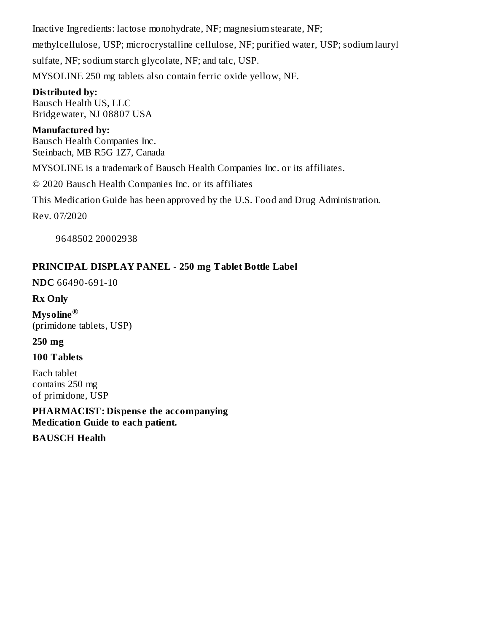Inactive Ingredients: lactose monohydrate, NF; magnesium stearate, NF; methylcellulose, USP; microcrystalline cellulose, NF; purified water, USP; sodium lauryl sulfate, NF; sodium starch glycolate, NF; and talc, USP. MYSOLINE 250 mg tablets also contain ferric oxide yellow, NF.

#### **Distributed by:**

Bausch Health US, LLC Bridgewater, NJ 08807 USA

#### **Manufactured by:**

Bausch Health Companies Inc. Steinbach, MB R5G 1Z7, Canada

MYSOLINE is a trademark of Bausch Health Companies Inc. or its affiliates.

© 2020 Bausch Health Companies Inc. or its affiliates

This Medication Guide has been approved by the U.S. Food and Drug Administration.

Rev. 07/2020

9648502 20002938

# **PRINCIPAL DISPLAY PANEL - 250 mg Tablet Bottle Label**

**NDC** 66490-691-10

#### **Rx Only**

**Mysoline ®**(primidone tablets, USP)

# **250 mg**

# **100 Tablets**

Each tablet contains 250 mg of primidone, USP

**PHARMACIST: Dispens e the accompanying Medication Guide to each patient.**

**BAUSCH Health**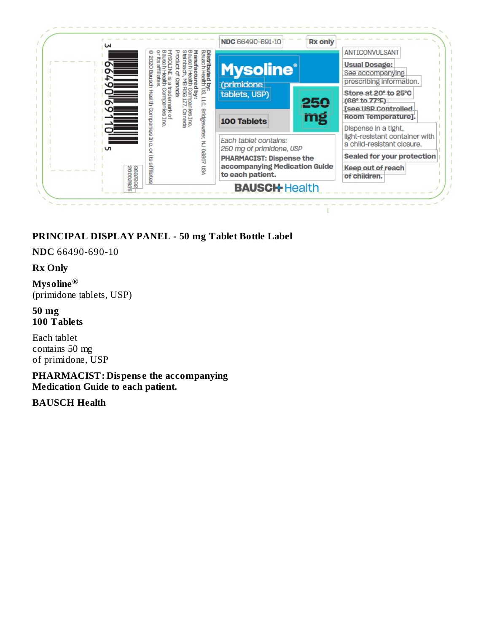

# **PRINCIPAL DISPLAY PANEL - 50 mg Tablet Bottle Label**

**NDC** 66490-690-10

#### **Rx Only**

**Mysoline ®**(primidone tablets, USP)

#### **50 mg 100 Tablets**

Each tablet contains 50 mg of primidone, USP

**PHARMACIST: Dispens e the accompanying Medication Guide to each patient.**

# **BAUSCH Health**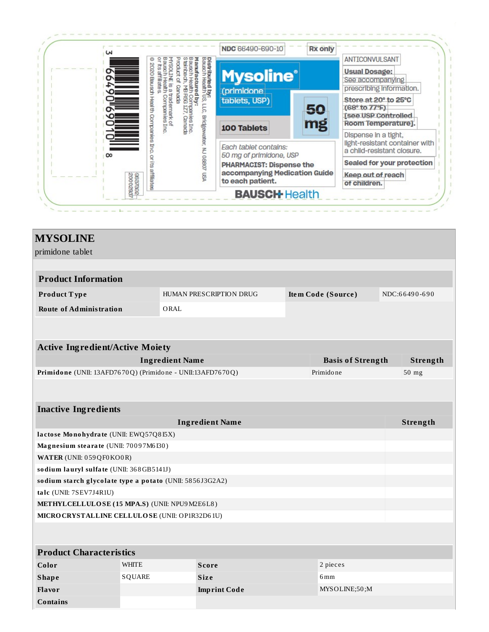

| <b>MYSOLINE</b>                                            |                                                                |                                                      |                        |  |               |  |               |
|------------------------------------------------------------|----------------------------------------------------------------|------------------------------------------------------|------------------------|--|---------------|--|---------------|
| primidone tablet                                           |                                                                |                                                      |                        |  |               |  |               |
|                                                            |                                                                |                                                      |                        |  |               |  |               |
| <b>Product Information</b>                                 |                                                                |                                                      |                        |  |               |  |               |
| Product Type                                               |                                                                | <b>HUMAN PRESCRIPTION DRUG</b><br>Item Code (Source) |                        |  |               |  | NDC:66490-690 |
| <b>Route of Administration</b>                             |                                                                | ORAL                                                 |                        |  |               |  |               |
|                                                            |                                                                |                                                      |                        |  |               |  |               |
|                                                            |                                                                |                                                      |                        |  |               |  |               |
| <b>Active Ingredient/Active Moiety</b>                     |                                                                |                                                      |                        |  |               |  |               |
|                                                            | <b>Ingredient Name</b><br><b>Basis of Strength</b><br>Strength |                                                      |                        |  |               |  |               |
| Primidone (UNII: 13AFD7670Q) (Primidone - UNII:13AFD7670Q) |                                                                |                                                      |                        |  | Primido ne    |  | 50 mg         |
|                                                            |                                                                |                                                      |                        |  |               |  |               |
| <b>Inactive Ingredients</b>                                |                                                                |                                                      |                        |  |               |  |               |
|                                                            |                                                                |                                                      | <b>Ingredient Name</b> |  |               |  | Strength      |
| lactose Monohydrate (UNII: EWQ57Q8I5X)                     |                                                                |                                                      |                        |  |               |  |               |
| Magnesium stearate (UNII: 70097M6I30)                      |                                                                |                                                      |                        |  |               |  |               |
| WATER (UNII: 059QF0KO0R)                                   |                                                                |                                                      |                        |  |               |  |               |
| sodium lauryl sulfate (UNII: 368GB5141J)                   |                                                                |                                                      |                        |  |               |  |               |
| sodium starch glycolate type a potato (UNII: 5856J3G2A2)   |                                                                |                                                      |                        |  |               |  |               |
| talc (UNII: 7SEV7J4R1U)                                    |                                                                |                                                      |                        |  |               |  |               |
| METHYLCELLULOSE (15 MPA.S) (UNII: NPU9M2E6L8)              |                                                                |                                                      |                        |  |               |  |               |
| MICRO CRYSTALLINE CELLULO SE (UNII: OP1R32D61U)            |                                                                |                                                      |                        |  |               |  |               |
|                                                            |                                                                |                                                      |                        |  |               |  |               |
| <b>Product Characteristics</b>                             |                                                                |                                                      |                        |  |               |  |               |
| Color                                                      | <b>WHITE</b>                                                   |                                                      | <b>Score</b>           |  | 2 pieces      |  |               |
| <b>Shape</b>                                               | SQUARE                                                         |                                                      | <b>Size</b>            |  | 6mm           |  |               |
| Flavor                                                     |                                                                |                                                      | <b>Imprint Code</b>    |  | MYSOLINE;50;M |  |               |
| <b>Contains</b>                                            |                                                                |                                                      |                        |  |               |  |               |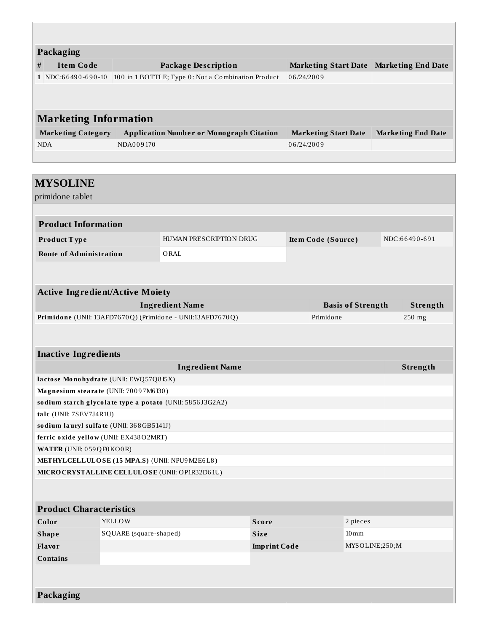| Packaging                                                                                                   |                                                                            |                                                            |      |                                         |                          |  |                           |
|-------------------------------------------------------------------------------------------------------------|----------------------------------------------------------------------------|------------------------------------------------------------|------|-----------------------------------------|--------------------------|--|---------------------------|
| <b>Item Code</b><br>#                                                                                       |                                                                            | <b>Package Description</b>                                 |      | Marketing Start Date Marketing End Date |                          |  |                           |
|                                                                                                             | $1$ NDC:66490-690-10<br>100 in 1 BOTTLE; Type 0: Not a Combination Product |                                                            |      |                                         |                          |  |                           |
|                                                                                                             |                                                                            |                                                            |      |                                         |                          |  |                           |
| <b>Marketing Information</b>                                                                                |                                                                            |                                                            |      |                                         |                          |  |                           |
| <b>Marketing Category</b><br><b>Application Number or Monograph Citation</b><br><b>Marketing Start Date</b> |                                                                            |                                                            |      |                                         |                          |  | <b>Marketing End Date</b> |
| <b>NDA</b>                                                                                                  | NDA009170                                                                  |                                                            |      | 06/24/2009                              |                          |  |                           |
|                                                                                                             |                                                                            |                                                            |      |                                         |                          |  |                           |
| <b>MYSOLINE</b>                                                                                             |                                                                            |                                                            |      |                                         |                          |  |                           |
| primidone tablet                                                                                            |                                                                            |                                                            |      |                                         |                          |  |                           |
|                                                                                                             |                                                                            |                                                            |      |                                         |                          |  |                           |
| <b>Product Information</b>                                                                                  |                                                                            |                                                            |      |                                         |                          |  |                           |
| Product Type                                                                                                |                                                                            | HUMAN PRESCRIPTION DRUG                                    |      | Item Code (Source)                      |                          |  | NDC:66490-691             |
| <b>Route of Administration</b>                                                                              |                                                                            | ORAL                                                       |      |                                         |                          |  |                           |
|                                                                                                             |                                                                            |                                                            |      |                                         |                          |  |                           |
|                                                                                                             | <b>Active Ingredient/Active Moiety</b>                                     |                                                            |      |                                         |                          |  |                           |
|                                                                                                             |                                                                            | <b>Ingredient Name</b>                                     |      |                                         | <b>Basis of Strength</b> |  | Strength                  |
|                                                                                                             |                                                                            | Primidone (UNII: 13AFD7670Q) (Primidone - UNII:13AFD7670Q) |      | Primido ne                              |                          |  | 250 mg                    |
| <b>Inactive Ingredients</b>                                                                                 |                                                                            |                                                            |      |                                         |                          |  |                           |
|                                                                                                             |                                                                            | <b>Ingredient Name</b>                                     |      |                                         |                          |  | Strength                  |
| lactose Monohydrate (UNII: EWQ57Q8I5X)                                                                      |                                                                            |                                                            |      |                                         |                          |  |                           |
|                                                                                                             | Magnesium stearate (UNII: 70097M6I30)                                      |                                                            |      |                                         |                          |  |                           |
|                                                                                                             |                                                                            | sodium starch glycolate type a potato (UNII: 5856J3G2A2)   |      |                                         |                          |  |                           |
| talc (UNII: 7SEV7J4R1U)                                                                                     |                                                                            |                                                            |      |                                         |                          |  |                           |
| sodium lauryl sulfate (UNII: 368GB5141J)                                                                    |                                                                            |                                                            |      |                                         |                          |  |                           |
| ferric oxide yellow (UNII: EX438O2MRT)                                                                      |                                                                            |                                                            |      |                                         |                          |  |                           |
| WATER (UNII: 059QF0KO0R)                                                                                    |                                                                            |                                                            |      |                                         |                          |  |                           |
| METHYLCELLULOSE (15 MPA.S) (UNII: NPU9M2E6L8)                                                               |                                                                            |                                                            |      |                                         |                          |  |                           |
|                                                                                                             |                                                                            | MICRO CRYSTALLINE CELLULO SE (UNII: OP1R32D61U)            |      |                                         |                          |  |                           |
| <b>Product Characteristics</b>                                                                              |                                                                            |                                                            |      |                                         |                          |  |                           |
| Color                                                                                                       | YELLOW<br><b>Score</b>                                                     |                                                            |      |                                         | 2 pieces                 |  |                           |
| <b>Shape</b>                                                                                                | SQUARE (square-shaped)                                                     |                                                            | Size |                                         | $10 \,\mathrm{mm}$       |  |                           |
| Flavor                                                                                                      | MYSOLINE;250;M<br><b>Imprint Code</b>                                      |                                                            |      |                                         |                          |  |                           |
| <b>Contains</b>                                                                                             |                                                                            |                                                            |      |                                         |                          |  |                           |
|                                                                                                             |                                                                            |                                                            |      |                                         |                          |  |                           |
| Packaging                                                                                                   |                                                                            |                                                            |      |                                         |                          |  |                           |